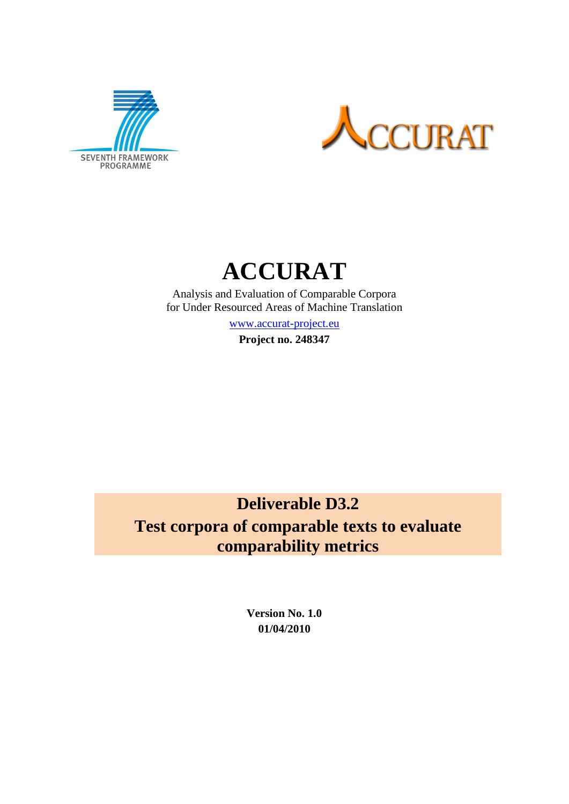



# **ACCURAT**

Analysis and Evaluation of Comparable Corpora for Under Resourced Areas of Machine Translation

[www.accurat-project.eu](http://www.accurat-project.eu/)

**Project no. 248347**

# **Deliverable D3.2 Test corpora of comparable texts to evaluate comparability metrics**

**Version No. 1.0 01/04/2010**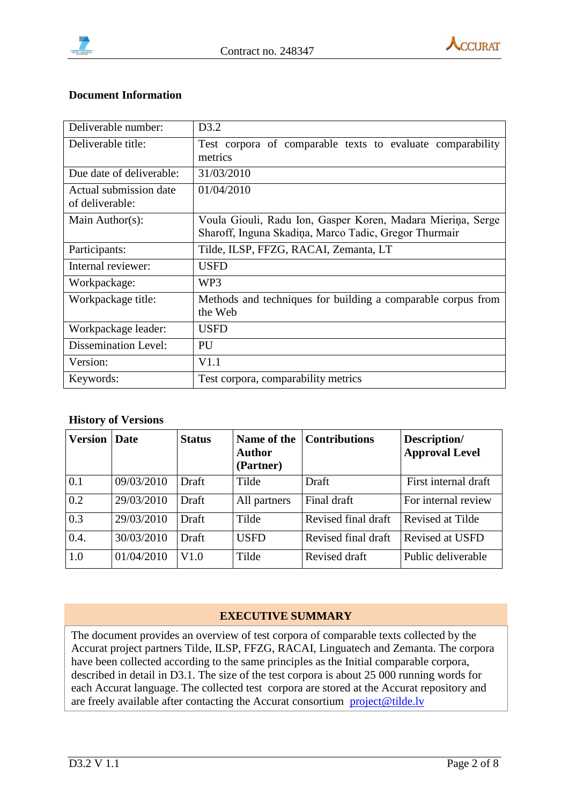



#### **Document Information**

| Deliverable number:                       | D <sub>3.2</sub>                                                                                                     |
|-------------------------------------------|----------------------------------------------------------------------------------------------------------------------|
| Deliverable title:                        | Test corpora of comparable texts to evaluate comparability<br>metrics                                                |
| Due date of deliverable:                  | 31/03/2010                                                                                                           |
| Actual submission date<br>of deliverable: | 01/04/2010                                                                                                           |
| Main Author(s):                           | Voula Giouli, Radu Ion, Gasper Koren, Madara Mierina, Serge<br>Sharoff, Inguna Skadiņa, Marco Tadic, Gregor Thurmair |
| Participants:                             | Tilde, ILSP, FFZG, RACAI, Zemanta, LT                                                                                |
| Internal reviewer:                        | <b>USFD</b>                                                                                                          |
| Workpackage:                              | WP <sub>3</sub>                                                                                                      |
| Workpackage title:                        | Methods and techniques for building a comparable corpus from<br>the Web                                              |
| Workpackage leader:                       | <b>USFD</b>                                                                                                          |
| <b>Dissemination Level:</b>               | PU                                                                                                                   |
| Version:                                  | V1.1                                                                                                                 |
| Keywords:                                 | Test corpora, comparability metrics                                                                                  |

#### **History of Versions**

| <b>Version</b>   | Date       | <b>Status</b> | Name of the<br><b>Author</b><br>(Partner) | <b>Contributions</b> | Description/<br><b>Approval Level</b> |
|------------------|------------|---------------|-------------------------------------------|----------------------|---------------------------------------|
| 0.1              | 09/03/2010 | Draft         | Tilde                                     | Draft                | First internal draft                  |
| $\overline{0.2}$ | 29/03/2010 | Draft         | All partners                              | Final draft          | For internal review                   |
| $\overline{0.3}$ | 29/03/2010 | Draft         | Tilde                                     | Revised final draft  | Revised at Tilde                      |
| 0.4.             | 30/03/2010 | Draft         | <b>USFD</b>                               | Revised final draft  | Revised at USFD                       |
| $\overline{1.0}$ | 01/04/2010 | V1.0          | Tilde                                     | Revised draft        | Public deliverable                    |

#### **EXECUTIVE SUMMARY**

The document provides an overview of test corpora of comparable texts collected by the Accurat project partners Tilde, ILSP, FFZG, RACAI, Linguatech and Zemanta. The corpora have been collected according to the same principles as the Initial comparable corpora, described in detail in D3.1. The size of the test corpora is about 25 000 running words for each Accurat language. The collected test corpora are stored at the Accurat repository and are freely available after contacting the Accurat consortium [project@tilde.lv](mailto:project@tilde.lv)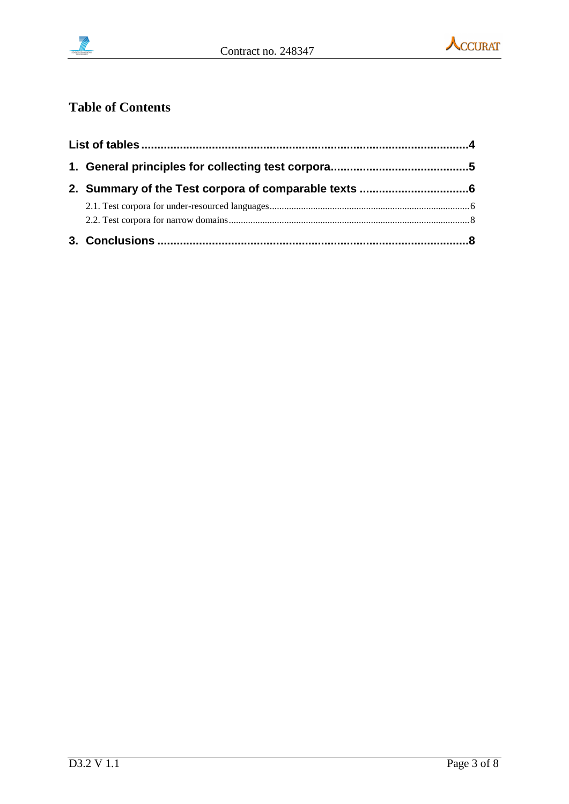



### **Table of Contents**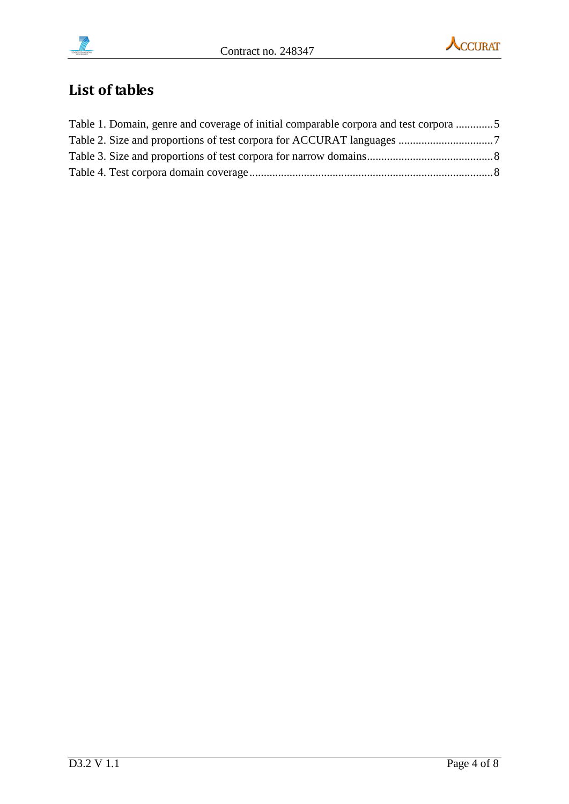



## <span id="page-3-0"></span>**List of tables**

| Table 1. Domain, genre and coverage of initial comparable corpora and test corpora 5 |  |
|--------------------------------------------------------------------------------------|--|
|                                                                                      |  |
|                                                                                      |  |
|                                                                                      |  |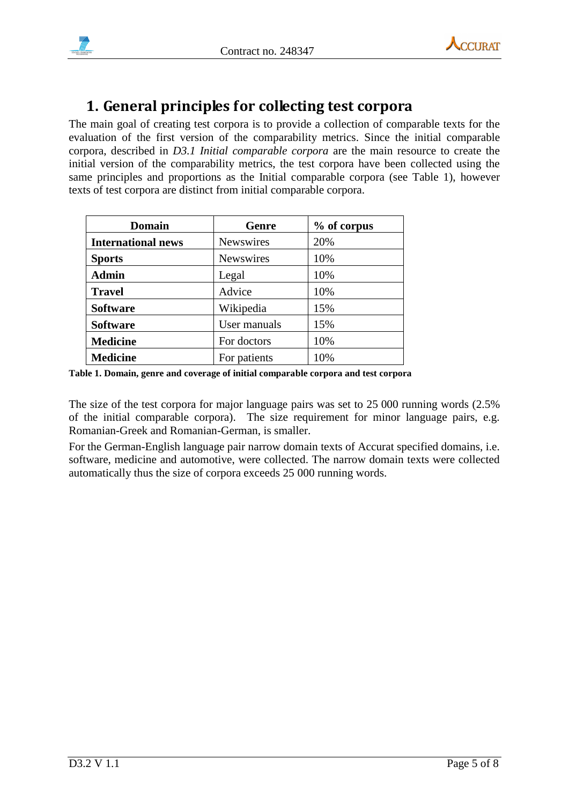



### <span id="page-4-0"></span>**1. General principles for collecting test corpora**

The main goal of creating test corpora is to provide a collection of comparable texts for the evaluation of the first version of the comparability metrics. Since the initial comparable corpora, described in *D3.1 Initial comparable corpora* are the main resource to create the initial version of the comparability metrics, the test corpora have been collected using the same principles and proportions as the Initial comparable corpora (see Table 1), however texts of test corpora are distinct from initial comparable corpora.

| <b>Domain</b>             | Genre            | % of corpus |
|---------------------------|------------------|-------------|
| <b>International news</b> | <b>Newswires</b> | 20%         |
| <b>Sports</b>             | Newswires        | 10%         |
| <b>Admin</b>              | Legal            | 10%         |
| <b>Travel</b>             | Advice           | 10%         |
| <b>Software</b>           | Wikipedia        | 15%         |
| <b>Software</b>           | User manuals     | 15%         |
| <b>Medicine</b>           | For doctors      | 10%         |
| <b>Medicine</b>           | For patients     | 10%         |

<span id="page-4-1"></span>**Table 1. Domain, genre and coverage of initial comparable corpora and test corpora**

The size of the test corpora for major language pairs was set to 25 000 running words (2.5% of the initial comparable corpora). The size requirement for minor language pairs, e.g. Romanian-Greek and Romanian-German, is smaller.

For the German-English language pair narrow domain texts of Accurat specified domains, i.e. software, medicine and automotive, were collected. The narrow domain texts were collected automatically thus the size of corpora exceeds 25 000 running words.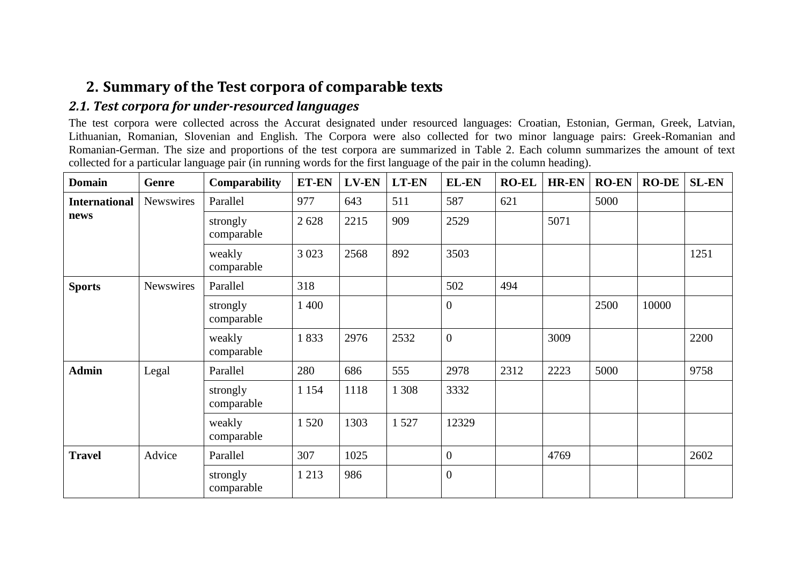### **2. Summary of the Test corpora of comparable texts**

### *2.1. Test corpora for under-resourced languages*

The test corpora were collected across the Accurat designated under resourced languages: Croatian, Estonian, German, Greek, Latvian, Lithuanian, Romanian, Slovenian and English. The Corpora were also collected for two minor language pairs: Greek-Romanian and Romanian-German. The size and proportions of the test corpora are summarized in Table 2. Each column summarizes the amount of text collected for a particular language pair (in running words for the first language of the pair in the column heading).

<span id="page-5-1"></span><span id="page-5-0"></span>

| <b>Domain</b>        | Genre            | Comparability          | ET-EN   | LV-EN | <b>LT-EN</b> | <b>EL-EN</b>     | <b>RO-EL</b> | <b>HR-EN</b> | <b>RO-EN</b> | <b>RO-DE</b> | <b>SL-EN</b> |
|----------------------|------------------|------------------------|---------|-------|--------------|------------------|--------------|--------------|--------------|--------------|--------------|
| <b>International</b> | Newswires        | Parallel               | 977     | 643   | 511          | 587              | 621          |              | 5000         |              |              |
| news                 |                  | strongly<br>comparable | 2628    | 2215  | 909          | 2529             |              | 5071         |              |              |              |
|                      |                  | weakly<br>comparable   | 3 0 23  | 2568  | 892          | 3503             |              |              |              |              | 1251         |
| <b>Sports</b>        | <b>Newswires</b> | Parallel               | 318     |       |              | 502              | 494          |              |              |              |              |
|                      |                  | strongly<br>comparable | 1 400   |       |              | $\boldsymbol{0}$ |              |              | 2500         | 10000        |              |
|                      |                  | weakly<br>comparable   | 1833    | 2976  | 2532         | $\overline{0}$   |              | 3009         |              |              | 2200         |
| <b>Admin</b>         | Legal            | Parallel               | 280     | 686   | 555          | 2978             | 2312         | 2223         | 5000         |              | 9758         |
|                      |                  | strongly<br>comparable | 1 1 5 4 | 1118  | 1 3 0 8      | 3332             |              |              |              |              |              |
|                      |                  | weakly<br>comparable   | 1 5 2 0 | 1303  | 1527         | 12329            |              |              |              |              |              |
| <b>Travel</b>        | Advice           | Parallel               | 307     | 1025  |              | $\overline{0}$   |              | 4769         |              |              | 2602         |
|                      |                  | strongly<br>comparable | 1 2 1 3 | 986   |              | $\boldsymbol{0}$ |              |              |              |              |              |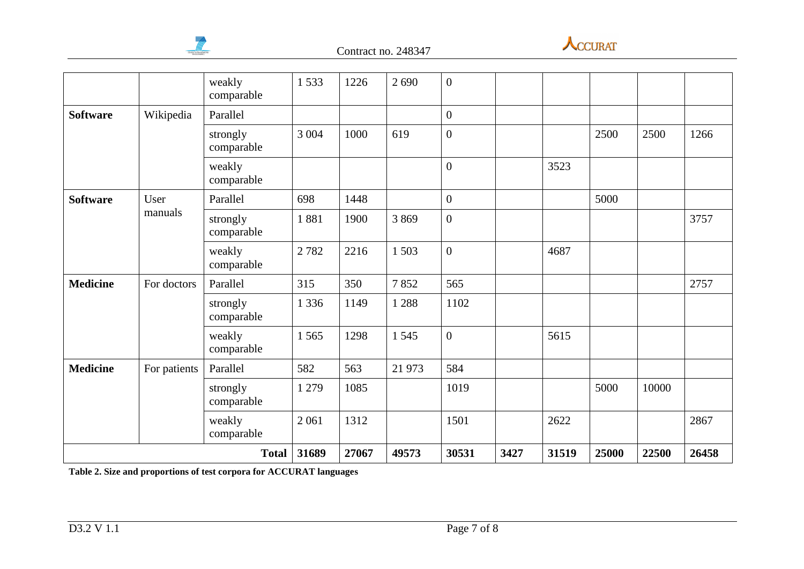



|                 |              | weakly<br>comparable   | 1533    | 1226  | 2 6 9 0 | $\overline{0}$   |      |       |       |       |       |
|-----------------|--------------|------------------------|---------|-------|---------|------------------|------|-------|-------|-------|-------|
| <b>Software</b> | Wikipedia    | Parallel               |         |       |         | $\mathbf{0}$     |      |       |       |       |       |
|                 |              | strongly<br>comparable | 3 0 0 4 | 1000  | 619     | $\overline{0}$   |      |       | 2500  | 2500  | 1266  |
|                 |              | weakly<br>comparable   |         |       |         | $\overline{0}$   |      | 3523  |       |       |       |
| <b>Software</b> | User         | Parallel               | 698     | 1448  |         | $\boldsymbol{0}$ |      |       | 5000  |       |       |
|                 | manuals      | strongly<br>comparable | 1881    | 1900  | 3869    | $\overline{0}$   |      |       |       |       | 3757  |
|                 |              | weakly<br>comparable   | 2782    | 2216  | 1503    | $\mathbf{0}$     |      | 4687  |       |       |       |
| <b>Medicine</b> | For doctors  | Parallel               | 315     | 350   | 7852    | 565              |      |       |       |       | 2757  |
|                 |              | strongly<br>comparable | 1 3 3 6 | 1149  | 1 2 8 8 | 1102             |      |       |       |       |       |
|                 |              | weakly<br>comparable   | 1565    | 1298  | 1545    | $\overline{0}$   |      | 5615  |       |       |       |
| <b>Medicine</b> | For patients | Parallel               | 582     | 563   | 21 973  | 584              |      |       |       |       |       |
|                 |              | strongly<br>comparable | 1 2 7 9 | 1085  |         | 1019             |      |       | 5000  | 10000 |       |
|                 |              | weakly<br>comparable   | 2 0 6 1 | 1312  |         | 1501             |      | 2622  |       |       | 2867  |
|                 |              | <b>Total</b>           | 31689   | 27067 | 49573   | 30531            | 3427 | 31519 | 25000 | 22500 | 26458 |

<span id="page-6-0"></span>**Table 2. Size and proportions of test corpora for ACCURAT languages**